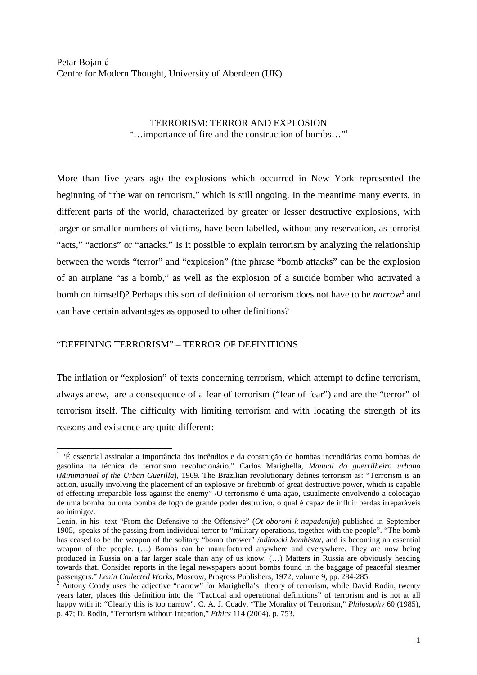## TERRORISM: TERROR AND EXPLOSION "…importance of fire and the construction of bombs…"<sup>1</sup>

More than five years ago the explosions which occurred in New York represented the beginning of "the war on terrorism," which is still ongoing. In the meantime many events, in different parts of the world, characterized by greater or lesser destructive explosions, with larger or smaller numbers of victims, have been labelled, without any reservation, as terrorist "acts," "actions" or "attacks." Is it possible to explain terrorism by analyzing the relationship between the words "terror" and "explosion" (the phrase "bomb attacks" can be the explosion of an airplane "as a bomb," as well as the explosion of a suicide bomber who activated a bomb on himself)? Perhaps this sort of definition of terrorism does not have to be *narrow*<sup>2</sup> and can have certain advantages as opposed to other definitions?

## "DEFFINING TERRORISM" – TERROR OF DEFINITIONS

The inflation or "explosion" of texts concerning terrorism, which attempt to define terrorism, always anew, are a consequence of a fear of terrorism ("fear of fear") and are the "terror" of terrorism itself. The difficulty with limiting terrorism and with locating the strength of its reasons and existence are quite different:

 1 "É essencial assinalar a importância dos incêndios e da construção de bombas incendiárias como bombas de gasolina na técnica de terrorismo revolucionário." Carlos Marighella, *Manual do guerrilheiro urbano* (*Minimanual of the Urban Guerilla*), 1969. The Brazilian revolutionary defines terrorism as: "Terrorism is an action, usually involving the placement of an explosive or firebomb of great destructive power, which is capable of effecting irreparable loss against the enemy" /O terrorismo é uma ação, usualmente envolvendo a colocação de uma bomba ou uma bomba de fogo de grande poder destrutivo, o qual é capaz de influir perdas irreparáveis ao inimigo/.

Lenin, in his text "From the Defensive to the Offensive" (*Ot oboroni k napadeniju*) published in September 1905, speaks of the passing from individual terror to "military operations, together with the people". "The bomb has ceased to be the weapon of the solitary "bomb thrower" */odinocki bombista*/, and is becoming an essential weapon of the people. (…) Bombs can be manufactured anywhere and everywhere. They are now being produced in Russia on a far larger scale than any of us know. (…) Matters in Russia are obviously heading towards that. Consider reports in the legal newspapers about bombs found in the baggage of peaceful steamer passengers." *Lenin Collected Works*, Moscow, Progress Publishers, 1972, volume 9, pp. 284-285.

 $\overline{2}$  Antony Coady uses the adjective "narrow" for Marighella's theory of terrorism, while David Rodin, twenty years later, places this definition into the "Tactical and operational definitions" of terrorism and is not at all happy with it: "Clearly this is too narrow". C. A. J. Coady, "The Morality of Terrorism," *Philosophy* 60 (1985), p. 47; D. Rodin, "Terrorism without Intention," *Ethics* 114 (2004), p. 753.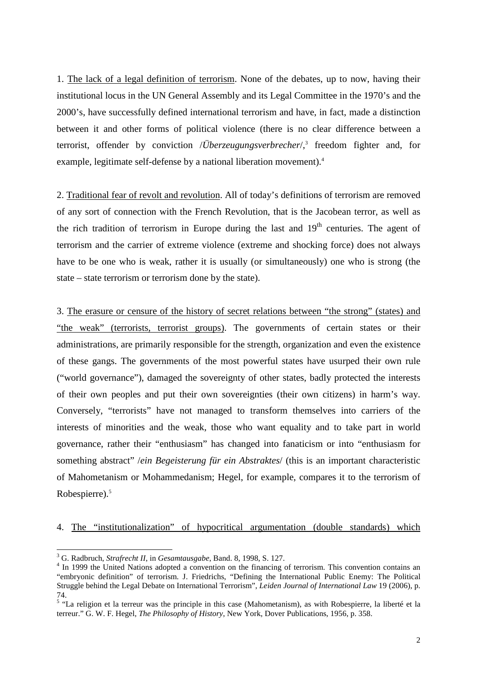1. The lack of a legal definition of terrorism. None of the debates, up to now, having their institutional locus in the UN General Assembly and its Legal Committee in the 1970's and the 2000's, have successfully defined international terrorism and have, in fact, made a distinction between it and other forms of political violence (there is no clear difference between a terrorist, offender by conviction */Überzeugungsverbrecher*/,<sup>3</sup> freedom fighter and, for example, legitimate self-defense by a national liberation movement).<sup>4</sup>

2. Traditional fear of revolt and revolution. All of today's definitions of terrorism are removed of any sort of connection with the French Revolution, that is the Jacobean terror, as well as the rich tradition of terrorism in Europe during the last and 19<sup>th</sup> centuries. The agent of terrorism and the carrier of extreme violence (extreme and shocking force) does not always have to be one who is weak, rather it is usually (or simultaneously) one who is strong (the state – state terrorism or terrorism done by the state).

3. The erasure or censure of the history of secret relations between "the strong" (states) and "the weak" (terrorists, terrorist groups). The governments of certain states or their administrations, are primarily responsible for the strength, organization and even the existence of these gangs. The governments of the most powerful states have usurped their own rule ("world governance"), damaged the sovereignty of other states, badly protected the interests of their own peoples and put their own sovereignties (their own citizens) in harm's way. Conversely, "terrorists" have not managed to transform themselves into carriers of the interests of minorities and the weak, those who want equality and to take part in world governance, rather their "enthusiasm" has changed into fanaticism or into "enthusiasm for something abstract" /*ein Begeisterung für ein Abstraktes*/ (this is an important characteristic of Mahometanism or Mohammedanism; Hegel, for example, compares it to the terrorism of Robespierre).<sup>5</sup>

## 4. The "institutionalization" of hypocritical argumentation (double standards) which

 3 G. Radbruch, *Strafrecht II*, in *Gesamtausgabe*, Band. 8, 1998, S. 127.

<sup>&</sup>lt;sup>4</sup> In 1999 the United Nations adopted a convention on the financing of terrorism. This convention contains an "embryonic definition" of terrorism. J. Friedrichs, "Defining the International Public Enemy: The Political Struggle behind the Legal Debate on International Terrorism", *Leiden Journal of International Law* 19 (2006), p. 74.

<sup>&</sup>lt;sup>5</sup> "La religion et la terreur was the principle in this case (Mahometanism), as with Robespierre, la liberté et la terreur." G. W. F. Hegel, *The Philosophy of History*, New York, Dover Publications, 1956, p. 358.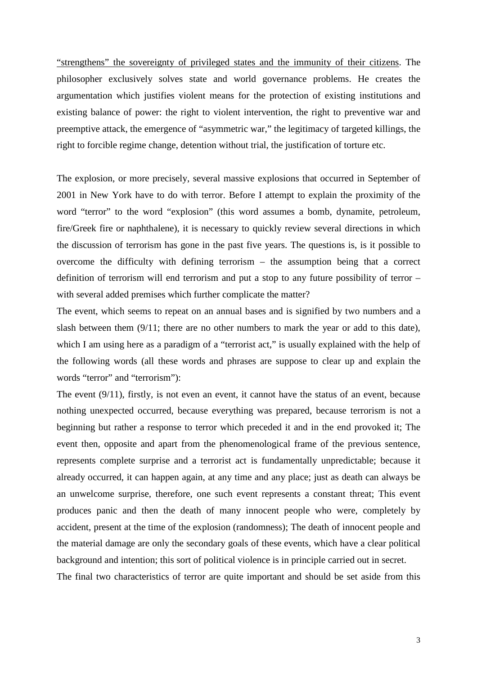"strengthens" the sovereignty of privileged states and the immunity of their citizens. The philosopher exclusively solves state and world governance problems. He creates the argumentation which justifies violent means for the protection of existing institutions and existing balance of power: the right to violent intervention, the right to preventive war and preemptive attack, the emergence of "asymmetric war," the legitimacy of targeted killings, the right to forcible regime change, detention without trial, the justification of torture etc.

The explosion, or more precisely, several massive explosions that occurred in September of 2001 in New York have to do with terror. Before I attempt to explain the proximity of the word "terror" to the word "explosion" (this word assumes a bomb, dynamite, petroleum, fire/Greek fire or naphthalene), it is necessary to quickly review several directions in which the discussion of terrorism has gone in the past five years. The questions is, is it possible to overcome the difficulty with defining terrorism – the assumption being that a correct definition of terrorism will end terrorism and put a stop to any future possibility of terror – with several added premises which further complicate the matter?

The event, which seems to repeat on an annual bases and is signified by two numbers and a slash between them (9/11; there are no other numbers to mark the year or add to this date), which I am using here as a paradigm of a "terrorist act," is usually explained with the help of the following words (all these words and phrases are suppose to clear up and explain the words "terror" and "terrorism"):

The event (9/11), firstly, is not even an event, it cannot have the status of an event, because nothing unexpected occurred, because everything was prepared, because terrorism is not a beginning but rather a response to terror which preceded it and in the end provoked it; The event then, opposite and apart from the phenomenological frame of the previous sentence, represents complete surprise and a terrorist act is fundamentally unpredictable; because it already occurred, it can happen again, at any time and any place; just as death can always be an unwelcome surprise, therefore, one such event represents a constant threat; This event produces panic and then the death of many innocent people who were, completely by accident, present at the time of the explosion (randomness); The death of innocent people and the material damage are only the secondary goals of these events, which have a clear political background and intention; this sort of political violence is in principle carried out in secret.

The final two characteristics of terror are quite important and should be set aside from this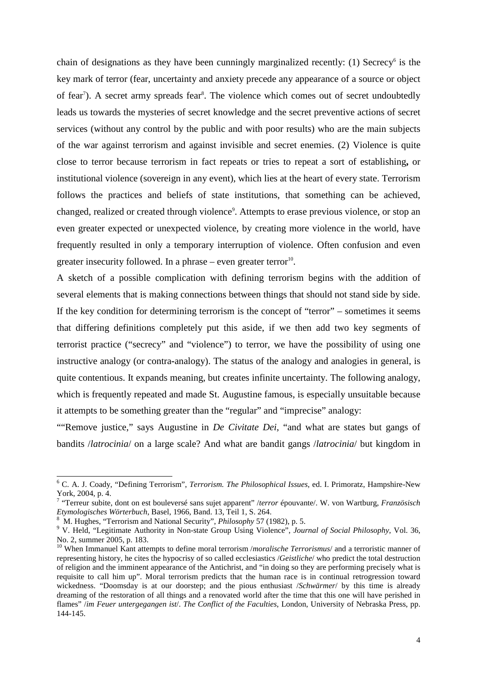chain of designations as they have been cunningly marginalized recently:  $(1)$  Secrecy<sup>6</sup> is the key mark of terror (fear, uncertainty and anxiety precede any appearance of a source or object of fear<sup>7</sup>). A secret army spreads fear<sup>8</sup>. The violence which comes out of secret undoubtedly leads us towards the mysteries of secret knowledge and the secret preventive actions of secret services (without any control by the public and with poor results) who are the main subjects of the war against terrorism and against invisible and secret enemies. (2) Violence is quite close to terror because terrorism in fact repeats or tries to repeat a sort of establishing**,** or institutional violence (sovereign in any event), which lies at the heart of every state. Terrorism follows the practices and beliefs of state institutions, that something can be achieved, changed, realized or created through violence<sup>9</sup>. Attempts to erase previous violence, or stop an even greater expected or unexpected violence, by creating more violence in the world, have frequently resulted in only a temporary interruption of violence. Often confusion and even greater insecurity followed. In a phrase  $-$  even greater terror<sup>10</sup>.

A sketch of a possible complication with defining terrorism begins with the addition of several elements that is making connections between things that should not stand side by side. If the key condition for determining terrorism is the concept of "terror" – sometimes it seems that differing definitions completely put this aside, if we then add two key segments of terrorist practice ("secrecy" and "violence") to terror, we have the possibility of using one instructive analogy (or contra**-**analogy). The status of the analogy and analogies in general, is quite contentious. It expands meaning, but creates infinite uncertainty. The following analogy, which is frequently repeated and made St. Augustine famous, is especially unsuitable because it attempts to be something greater than the "regular" and "imprecise" analogy:

""Remove justice," says Augustine in *De Civitate Dei*, "and what are states but gangs of bandits /*latrocinia*/ on a large scale? And what are bandit gangs /*latrocinia*/ but kingdom in

 6 C. A. J. Coady, "Defining Terrorism", *Terrorism. The Philosophical Issues*, ed. I. Primoratz, Hampshire-New York, 2004, p. 4.

<sup>7</sup> "Terreur subite, dont on est bouleversé sans sujet apparent" /*terror* épouvante/. W. von Wartburg, *Französisch Etymologisches Wörterbuch*, Basel, 1966, Band. 13, Teil 1, S. 264.

<sup>8</sup> M. Hughes, "Terrorism and National Security", *Philosophy* 57 (1982), p. 5.

<sup>&</sup>lt;sup>9</sup> V. Held, "Legitimate Authority in Non-state Group Using Violence", *Journal of Social Philosophy*, Vol. 36, No. 2, summer 2005, p. 183.

<sup>10</sup> When Immanuel Kant attempts to define moral terrorism /*moralische Terrorismus*/ and a terroristic manner of representing history, he cites the hypocrisy of so called ecclesiastics /*Geistliche*/ who predict the total destruction of religion and the imminent appearance of the Antichrist, and "in doing so they are performing precisely what is requisite to call him up". Moral terrorism predicts that the human race is in continual retrogression toward wickedness. "Doomsday is at our doorstep; and the pious enthusiast /*Schwärmer*/ by this time is already dreaming of the restoration of all things and a renovated world after the time that this one will have perished in flames" /*im Feuer untergegangen ist*/. *The Conflict of the Faculties*, London, University of Nebraska Press, pp. 144-145.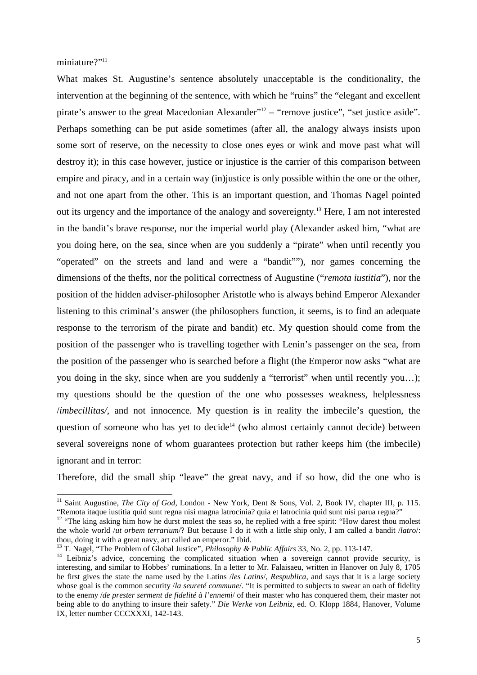miniature?"<sup>11</sup>

-

What makes St. Augustine's sentence absolutely unacceptable is the conditionality, the intervention at the beginning of the sentence, with which he "ruins" the "elegant and excellent pirate's answer to the great Macedonian Alexander"<sup>12</sup> – "remove justice", "set justice aside". Perhaps something can be put aside sometimes (after all, the analogy always insists upon some sort of reserve, on the necessity to close ones eyes or wink and move past what will destroy it); in this case however, justice or injustice is the carrier of this comparison between empire and piracy, and in a certain way (in)justice is only possible within the one or the other, and not one apart from the other. This is an important question, and Thomas Nagel pointed out its urgency and the importance of the analogy and sovereignty.<sup>13</sup> Here, I am not interested in the bandit's brave response, nor the imperial world play (Alexander asked him, "what are you doing here, on the sea, since when are you suddenly a "pirate" when until recently you "operated" on the streets and land and were a "bandit""), nor games concerning the dimensions of the thefts, nor the political correctness of Augustine ("*remota iustitia*"), nor the position of the hidden adviser-philosopher Aristotle who is always behind Emperor Alexander listening to this criminal's answer (the philosophers function, it seems, is to find an adequate response to the terrorism of the pirate and bandit) etc. My question should come from the position of the passenger who is travelling together with Lenin's passenger on the sea, from the position of the passenger who is searched before a flight (the Emperor now asks "what are you doing in the sky, since when are you suddenly a "terrorist" when until recently you…); my questions should be the question of the one who possesses weakness, helplessness /*imbecillitas/,* and not innocence. My question is in reality the imbecile's question, the question of someone who has yet to decide<sup>14</sup> (who almost certainly cannot decide) between several sovereigns none of whom guarantees protection but rather keeps him (the imbecile) ignorant and in terror:

Therefore, did the small ship "leave" the great navy, and if so how, did the one who is

<sup>&</sup>lt;sup>11</sup> Saint Augustine, *The City of God*, London - New York, Dent & Sons, Vol. 2, Book IV, chapter III, p. 115. "Remota itaque iustitia quid sunt regna nisi magna latrocinia? quia et latrocinia quid sunt nisi parua regna?"

<sup>&</sup>lt;sup>12</sup> "The king asking him how he durst molest the seas so, he replied with a free spirit: "How darest thou molest the whole world /*ut orbem terrarium*/? But because I do it with a little ship only, I am called a bandit /*latro*/: thou, doing it with a great navy, art called an emperor." Ibid.

<sup>13</sup> T. Nagel, "The Problem of Global Justice", *Philosophy & Public Affairs* 33, No. 2, pp. 113-147.

<sup>&</sup>lt;sup>14</sup> Leibniz's advice, concerning the complicated situation when a sovereign cannot provide security, is interesting, and similar to Hobbes' ruminations. In a letter to Mr. Falaisaeu, written in Hanover on July 8, 1705 he first gives the state the name used by the Latins /*les Latins*/, *Respublica*, and says that it is a large society whose goal is the common security */la seureté commune*/. "It is permitted to subjects to swear an oath of fidelity to the enemy /*de prester serment de fidelité à l'ennemi*/ of their master who has conquered them, their master not being able to do anything to insure their safety." *Die Werke von Leibniz*, ed. O. Klopp 1884, Hanover, Volume IX, letter number CCCXXXI, 142-143.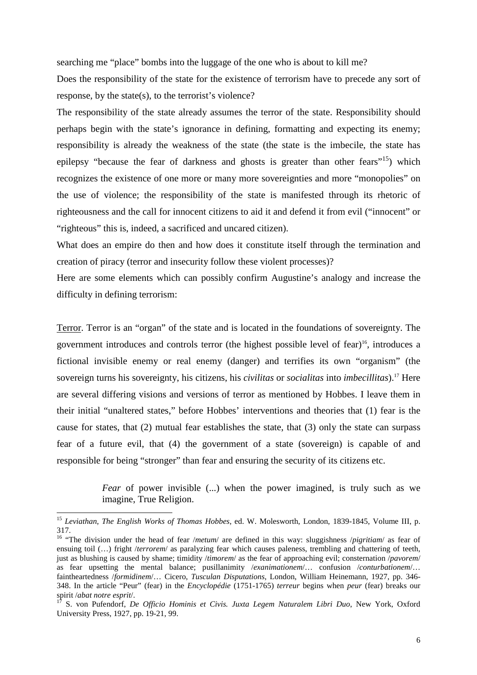searching me "place" bombs into the luggage of the one who is about to kill me?

Does the responsibility of the state for the existence of terrorism have to precede any sort of response, by the state(s), to the terrorist's violence?

The responsibility of the state already assumes the terror of the state. Responsibility should perhaps begin with the state's ignorance in defining, formatting and expecting its enemy; responsibility is already the weakness of the state (the state is the imbecile, the state has epilepsy "because the fear of darkness and ghosts is greater than other fears"<sup>15</sup>) which recognizes the existence of one more or many more sovereignties and more "monopolies" on the use of violence; the responsibility of the state is manifested through its rhetoric of righteousness and the call for innocent citizens to aid it and defend it from evil ("innocent" or "righteous" this is, indeed, a sacrificed and uncared citizen).

What does an empire do then and how does it constitute itself through the termination and creation of piracy (terror and insecurity follow these violent processes)?

Here are some elements which can possibly confirm Augustine's analogy and increase the difficulty in defining terrorism:

Terror. Terror is an "organ" of the state and is located in the foundations of sovereignty. The government introduces and controls terror (the highest possible level of fear)<sup>16</sup>, introduces a fictional invisible enemy or real enemy (danger) and terrifies its own "organism" (the sovereign turns his sovereignty, his citizens, his *civilitas* or *socialitas* into *imbecillitas*).<sup>17</sup> Here are several differing visions and versions of terror as mentioned by Hobbes. I leave them in their initial "unaltered states," before Hobbes' interventions and theories that (1) fear is the cause for states, that (2) mutual fear establishes the state, that (3) only the state can surpass fear of a future evil, that (4) the government of a state (sovereign) is capable of and responsible for being "stronger" than fear and ensuring the security of its citizens etc.

> *Fear* of power invisible (...) when the power imagined, is truly such as we imagine, True Religion.

<sup>15</sup> *Leviathan*, *The English Works of Thomas Hobbes*, ed. W. Molesworth, London, 1839-1845, Volume III, p. 317.

<sup>16</sup> "The division under the head of fear /*metum*/ are defined in this way: sluggishness /*pigritiam*/ as fear of ensuing toil (…) fright /*terrorem*/ as paralyzing fear which causes paleness, trembling and chattering of teeth, just as blushing is caused by shame; timidity /*timorem*/ as the fear of approaching evil; consternation /*pavorem*/ as fear upsetting the mental balance; pusillanimity /*exanimationem*/… confusion /*conturbationem*/… faintheartedness /*formidinem*/… Cicero, *Tusculan Disputations*, London, William Heinemann, 1927, pp. 346- 348. In the article "Peur" (fear) in the *Encyclopédie* (1751-1765) *terreur* begins when *peur* (fear) breaks our spirit /*abat notre esprit*/.

<sup>17</sup> S. von Pufendorf, *De Officio Hominis et Civis. Juxta Legem Naturalem Libri Duo*, New York, Oxford University Press, 1927, pp. 19-21, 99.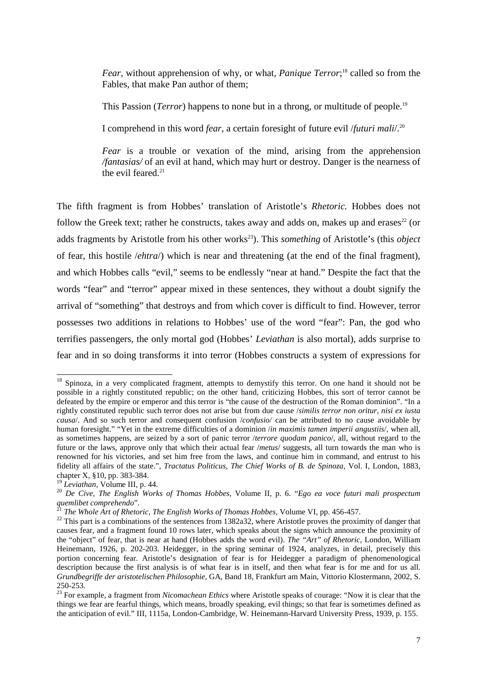*Fear*, without apprehension of why, or what, *Panique Terror*; <sup>18</sup> called so from the Fables, that make Pan author of them;

This Passion (*Terror*) happens to none but in a throng, or multitude of people.<sup>19</sup>

I comprehend in this word *fear*, a certain foresight of future evil /*futuri mali*/.<sup>20</sup>

*Fear* is a trouble or vexation of the mind, arising from the apprehension */fantasias/* of an evil at hand, which may hurt or destroy. Danger is the nearness of the evil feared. $21$ 

The fifth fragment is from Hobbes' translation of Aristotle's *Rhetoric.* Hobbes does not follow the Greek text; rather he constructs, takes away and adds on, makes up and erases<sup>22</sup> (or adds fragments by Aristotle from his other works<sup>23</sup>). This *something* of Aristotle's (this *object* of fear, this hostile /*ehtra*/) which is near and threatening (at the end of the final fragment), and which Hobbes calls "evil," seems to be endlessly "near at hand." Despite the fact that the words "fear" and "terror" appear mixed in these sentences, they without a doubt signify the arrival of "something" that destroys and from which cover is difficult to find. However, terror possesses two additions in relations to Hobbes' use of the word "fear": Pan, the god who terrifies passengers, the only mortal god (Hobbes' *Leviathan* is also mortal), adds surprise to fear and in so doing transforms it into terror (Hobbes constructs a system of expressions for

<sup>&</sup>lt;sup>18</sup> Spinoza, in a very complicated fragment, attempts to demystify this terror. On one hand it should not be possible in a rightly constituted republic; on the other hand, criticizing Hobbes, this sort of terror cannot be defeated by the empire or emperor and this terror is "the cause of the destruction of the Roman dominion". "In a rightly constituted republic such terror does not arise but from due cause /*similis terror non oritur, nisi ex iusta causa*/. And so such terror and consequent confusion /*confusio*/ can be attributed to no cause avoidable by human foresight." "Yet in the extreme difficulties of a dominion /*in maximis tamen imperii angustiis*/, when all, as sometimes happens, are seized by a sort of panic terror /*terrore quodam panico*/, all, without regard to the future or the laws, approve only that which their actual fear /*metus*/ suggests, all turn towards the man who is renowned for his victories, and set him free from the laws, and continue him in command, and entrust to his fidelity all affairs of the state.", *Tractatus Politicus*, *The Chief Works of B. de Spinoza*, Vol. I, London, 1883, chapter X, §10, pp. 383-384.

<sup>19</sup> *Leviathan*, Volume III, p. 44.

<sup>20</sup> *De Cive*, *The English Works of Thomas Hobbes*, Volume II, p. 6. "*Ego ea voce futuri mali prospectum quemlibet comprehendo*".

<sup>21</sup> *The Whole Art of Rhetoric*, *The English Works of Thomas Hobbes*, Volume VI, pp. 456-457.

 $^{22}$  This part is a combinations of the sentences from 1382a32, where Aristotle proves the proximity of danger that causes fear, and a fragment found 10 rows later, which speaks about the signs which announce the proximity of the "object" of fear, that is near at hand (Hobbes adds the word evil). *The "Art" of Rhetoric*, London, William Heinemann, 1926, p. 202-203. Heidegger, in the spring seminar of 1924, analyzes, in detail, precisely this portion concerning fear. Aristotle's designation of fear is for Heidegger a paradigm of phenomenological description because the first analysis is of what fear is in itself, and then what fear is for me and for us all. *Grundbegriffe der aristotelischen Philosophie*, GA, Band 18, Frankfurt am Main, Vittorio Klostermann, 2002, S. 250-253.

<sup>23</sup> For example, a fragment from *Nicomachean Ethics* where Aristotle speaks of courage: "Now it is clear that the things we fear are fearful things, which means, broadly speaking, evil things; so that fear is sometimes defined as the anticipation of evil." III, 1115a, London-Cambridge, W. Heinemann-Harvard University Press, 1939, p. 155.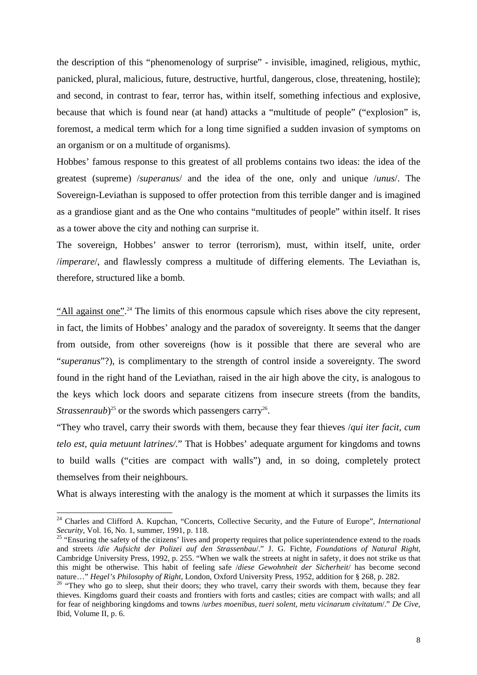the description of this "phenomenology of surprise" - invisible, imagined, religious, mythic, panicked, plural, malicious, future, destructive, hurtful, dangerous, close, threatening, hostile); and second, in contrast to fear, terror has, within itself, something infectious and explosive, because that which is found near (at hand) attacks a "multitude of people" ("explosion" is, foremost, a medical term which for a long time signified a sudden invasion of symptoms on an organism or on a multitude of organisms).

Hobbes' famous response to this greatest of all problems contains two ideas: the idea of the greatest (supreme) /*superanus*/ and the idea of the one, only and unique /*unus*/. The Sovereign-Leviathan is supposed to offer protection from this terrible danger and is imagined as a grandiose giant and as the One who contains "multitudes of people" within itself. It rises as a tower above the city and nothing can surprise it.

The sovereign, Hobbes' answer to terror (terrorism), must, within itself, unite, order /*imperare*/, and flawlessly compress a multitude of differing elements. The Leviathan is, therefore, structured like a bomb.

"All against one".<sup>24</sup> The limits of this enormous capsule which rises above the city represent, in fact, the limits of Hobbes' analogy and the paradox of sovereignty. It seems that the danger from outside, from other sovereigns (how is it possible that there are several who are "*superanus*"?), is complimentary to the strength of control inside a sovereignty. The sword found in the right hand of the Leviathan, raised in the air high above the city, is analogous to the keys which lock doors and separate citizens from insecure streets (from the bandits, *Strassenraub*)<sup>25</sup> or the swords which passengers carry<sup>26</sup>.

"They who travel, carry their swords with them, because they fear thieves /*qui iter facit, cum telo est, quia metuunt latrines/.*" That is Hobbes' adequate argument for kingdoms and towns to build walls ("cities are compact with walls") and, in so doing, completely protect themselves from their neighbours.

What is always interesting with the analogy is the moment at which it surpasses the limits its

<sup>24</sup> Charles and Clifford A. Kupchan, "Concerts, Collective Security, and the Future of Europe", *International Security*, Vol. 16, No. 1, summer, 1991, p. 118.

<sup>&</sup>lt;sup>25</sup> "Ensuring the safety of the citizens' lives and property requires that police superintendence extend to the roads and streets /*die Aufsicht der Polizei auf den Strassenbau*/." J. G. Fichte, *Foundations of Natural Right*, Cambridge University Press, 1992, p. 255. "When we walk the streets at night in safety, it does not strike us that this might be otherwise. This habit of feeling safe /*diese Gewohnheit der Sicherheit*/ has become second nature…" *Hegel's Philosophy of Right*, London, Oxford University Press, 1952, addition for § 268, p. 282.

<sup>&</sup>lt;sup>26</sup> "They who go to sleep, shut their doors; they who travel, carry their swords with them, because they fear thieves. Kingdoms guard their coasts and frontiers with forts and castles; cities are compact with walls; and all for fear of neighboring kingdoms and towns /*urbes moenibus, tueri solent, metu vicinarum civitatum*/." *De Cive*, Ibid, Volume II, p. 6.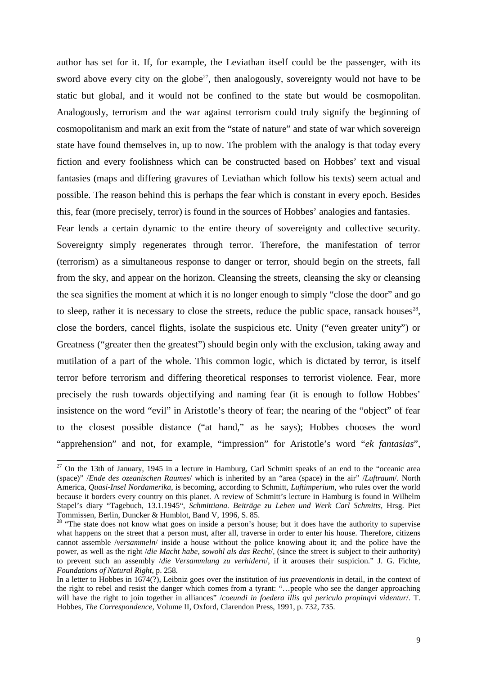author has set for it. If, for example, the Leviathan itself could be the passenger, with its sword above every city on the globe<sup>27</sup>, then analogously, sovereignty would not have to be static but global, and it would not be confined to the state but would be cosmopolitan. Analogously, terrorism and the war against terrorism could truly signify the beginning of cosmopolitanism and mark an exit from the "state of nature" and state of war which sovereign state have found themselves in, up to now. The problem with the analogy is that today every fiction and every foolishness which can be constructed based on Hobbes' text and visual fantasies (maps and differing gravures of Leviathan which follow his texts) seem actual and possible. The reason behind this is perhaps the fear which is constant in every epoch. Besides this, fear (more precisely, terror) is found in the sources of Hobbes' analogies and fantasies.

Fear lends a certain dynamic to the entire theory of sovereignty and collective security. Sovereignty simply regenerates through terror. Therefore, the manifestation of terror (terrorism) as a simultaneous response to danger or terror, should begin on the streets, fall from the sky, and appear on the horizon. Cleansing the streets, cleansing the sky or cleansing the sea signifies the moment at which it is no longer enough to simply "close the door" and go to sleep, rather it is necessary to close the streets, reduce the public space, ransack houses $28$ , close the borders, cancel flights, isolate the suspicious etc. Unity ("even greater unity") or Greatness ("greater then the greatest") should begin only with the exclusion, taking away and mutilation of a part of the whole. This common logic, which is dictated by terror, is itself terror before terrorism and differing theoretical responses to terrorist violence. Fear, more precisely the rush towards objectifying and naming fear (it is enough to follow Hobbes' insistence on the word "evil" in Aristotle's theory of fear; the nearing of the "object" of fear to the closest possible distance ("at hand," as he says); Hobbes chooses the word "apprehension" and not, for example, "impression" for Aristotle's word "*ek fantasias*",

 $27$  On the 13th of January, 1945 in a lecture in Hamburg, Carl Schmitt speaks of an end to the "oceanic area (space)" /*Ende des ozeanischen Raumes*/ which is inherited by an "area (space) in the air" /*Luftraum*/. North America, *Quasi-Insel Nordamerika*, is becoming, according to Schmitt, *Luftimperium,* who rules over the world because it borders every country on this planet. A review of Schmitt's lecture in Hamburg is found in Wilhelm Stapel's diary "Tagebuch, 13.1.1945", *Schmittiana. Beiträge zu Leben und Werk Carl Schmitts*, Hrsg. Piet Tommissen, Berlin, Duncker & Humblot, Band V, 1996, S. 85.

<sup>&</sup>lt;sup>28</sup> "The state does not know what goes on inside a person's house; but it does have the authority to supervise what happens on the street that a person must, after all, traverse in order to enter his house. Therefore, citizens cannot assemble /*versammeln*/ inside a house without the police knowing about it; and the police have the power, as well as the right /*die Macht habe, sowohl als das Recht*/, (since the street is subject to their authority) to prevent such an assembly /*die Versammlung zu verhidern*/, if it arouses their suspicion." J. G. Fichte, *Foundations of Natural Right*, p. 258.

In a letter to Hobbes in 1674(?), Leibniz goes over the institution of *ius praeventionis* in detail, in the context of the right to rebel and resist the danger which comes from a tyrant: "…people who see the danger approaching will have the right to join together in alliances" /*coeundi in foedera illis qvi periculo propinqvi videntur*/. T. Hobbes, *The Correspondence*, Volume II, Oxford, Clarendon Press, 1991, p. 732, 735.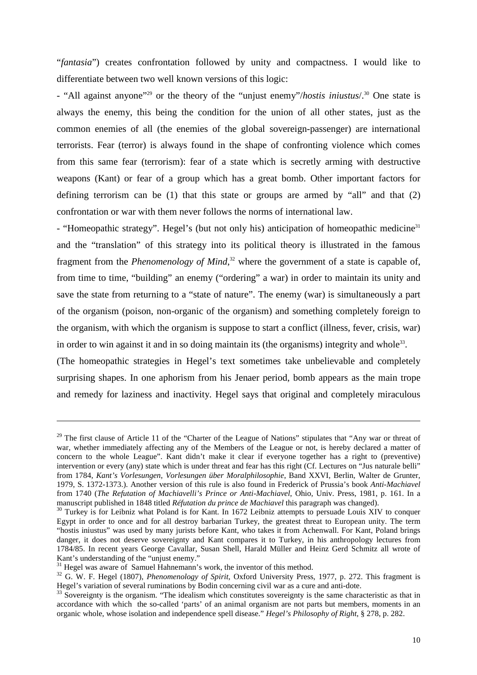"*fantasia*") creates confrontation followed by unity and compactness. I would like to differentiate between two well known versions of this logic:

- "All against anyone"<sup>29</sup> or the theory of the "unjust enemy"/*hostis iniustus*/.<sup>30</sup> One state is always the enemy, this being the condition for the union of all other states, just as the common enemies of all (the enemies of the global sovereign-passenger) are international terrorists. Fear (terror) is always found in the shape of confronting violence which comes from this same fear (terrorism): fear of a state which is secretly arming with destructive weapons (Kant) or fear of a group which has a great bomb. Other important factors for defining terrorism can be (1) that this state or groups are armed by "all" and that (2) confrontation or war with them never follows the norms of international law.

- "Homeopathic strategy". Hegel's (but not only his) anticipation of homeopathic medicine<sup>31</sup> and the "translation" of this strategy into its political theory is illustrated in the famous fragment from the *Phenomenology of Mind*, <sup>32</sup> where the government of a state is capable of, from time to time, "building" an enemy ("ordering" a war) in order to maintain its unity and save the state from returning to a "state of nature". The enemy (war) is simultaneously a part of the organism (poison, non-organic of the organism) and something completely foreign to the organism, with which the organism is suppose to start a conflict (illness, fever, crisis, war) in order to win against it and in so doing maintain its (the organisms) integrity and whole<sup>33</sup>.

(The homeopathic strategies in Hegel's text sometimes take unbelievable and completely surprising shapes. In one aphorism from his Jenaer period, bomb appears as the main trope and remedy for laziness and inactivity. Hegel says that original and completely miraculous

-

<sup>&</sup>lt;sup>29</sup> The first clause of Article 11 of the "Charter of the League of Nations" stipulates that "Any war or threat of war, whether immediately affecting any of the Members of the League or not, is hereby declared a matter of concern to the whole League". Kant didn't make it clear if everyone together has a right to (preventive) intervention or every (any) state which is under threat and fear has this right (Cf. Lectures on "Jus naturale belli" from 1784, *Kant's Vorlesungen*, *Vorlesungen über Moralphilosophie*, Band XXVI, Berlin, Walter de Grunter, 1979, S. 1372-1373.). Another version of this rule is also found in Frederick of Prussia's book *Anti-Machiavel* from 1740 (*The Refutation of Machiavelli's Prince or Anti-Machiavel*, Ohio, Univ. Press, 1981, p. 161. In a manuscript published in 1848 titled *Réfutation du prince de Machiavel* this paragraph was changed).

 $30$  Turkey is for Leibniz what Poland is for Kant. In 1672 Leibniz attempts to persuade Louis XIV to conquer Egypt in order to once and for all destroy barbarian Turkey, the greatest threat to European unity. The term "hostis iniustus" was used by many jurists before Kant, who takes it from Achenwall. For Kant, Poland brings danger, it does not deserve sovereignty and Kant compares it to Turkey, in his anthropology lectures from 1784/85. In recent years George Cavallar, Susan Shell, Harald Müller and Heinz Gerd Schmitz all wrote of Kant's understanding of the "unjust enemy."

 $31$  Hegel was aware of Samuel Hahnemann's work, the inventor of this method.

<sup>32</sup> G. W. F. Hegel (1807), *Phenomenology of Spirit*, Oxford University Press, 1977, p. 272. This fragment is Hegel's variation of several ruminations by Bodin concerning civil war as a cure and anti-dote.

 $33$  Sovereignty is the organism. "The idealism which constitutes sovereignty is the same characteristic as that in accordance with which the so-called 'parts' of an animal organism are not parts but members, moments in an organic whole, whose isolation and independence spell disease." *Hegel's Philosophy of Right*, § 278, p. 282.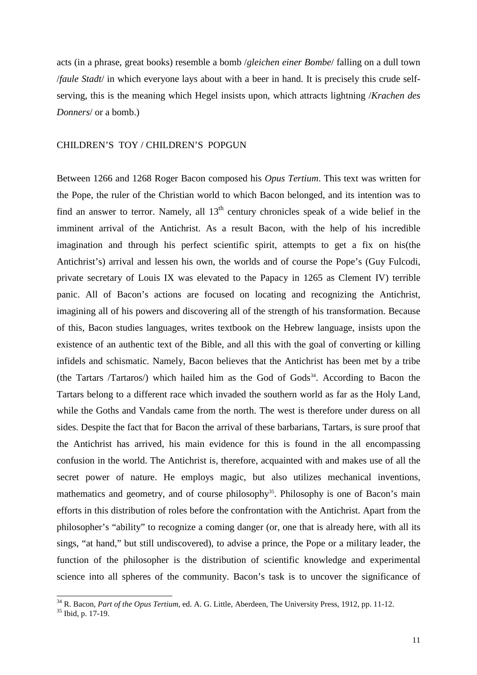acts (in a phrase, great books) resemble a bomb /*gleichen einer Bombe*/ falling on a dull town /*faule Stadt*/ in which everyone lays about with a beer in hand. It is precisely this crude selfserving, this is the meaning which Hegel insists upon, which attracts lightning /*Krachen des Donners*/ or a bomb.)

## CHILDREN'S TOY / CHILDREN'S POPGUN

Between 1266 and 1268 Roger Bacon composed his *Opus Tertium*. This text was written for the Pope, the ruler of the Christian world to which Bacon belonged, and its intention was to find an answer to terror. Namely, all  $13<sup>th</sup>$  century chronicles speak of a wide belief in the imminent arrival of the Antichrist. As a result Bacon, with the help of his incredible imagination and through his perfect scientific spirit, attempts to get a fix on his(the Antichrist's) arrival and lessen his own, the worlds and of course the Pope's (Guy Fulcodi, private secretary of Louis IX was elevated to the Papacy in 1265 as Clement IV) terrible panic. All of Bacon's actions are focused on locating and recognizing the Antichrist, imagining all of his powers and discovering all of the strength of his transformation. Because of this, Bacon studies languages, writes textbook on the Hebrew language, insists upon the existence of an authentic text of the Bible, and all this with the goal of converting or killing infidels and schismatic. Namely, Bacon believes that the Antichrist has been met by a tribe (the Tartars /Tartaros/) which hailed him as the God of Gods<sup>34</sup>. According to Bacon the Tartars belong to a different race which invaded the southern world as far as the Holy Land, while the Goths and Vandals came from the north. The west is therefore under duress on all sides. Despite the fact that for Bacon the arrival of these barbarians, Tartars, is sure proof that the Antichrist has arrived, his main evidence for this is found in the all encompassing confusion in the world. The Antichrist is, therefore, acquainted with and makes use of all the secret power of nature. He employs magic, but also utilizes mechanical inventions, mathematics and geometry, and of course philosophy<sup>35</sup>. Philosophy is one of Bacon's main efforts in this distribution of roles before the confrontation with the Antichrist. Apart from the philosopher's "ability" to recognize a coming danger (or, one that is already here, with all its sings, "at hand," but still undiscovered), to advise a prince, the Pope or a military leader, the function of the philosopher is the distribution of scientific knowledge and experimental science into all spheres of the community. Bacon's task is to uncover the significance of

<sup>&</sup>lt;sup>34</sup> R. Bacon, *Part of the Opus Tertium*, ed. A. G. Little, Aberdeen, The University Press, 1912, pp. 11-12.

<sup>&</sup>lt;sup>35</sup> Ibid, p. 17-19.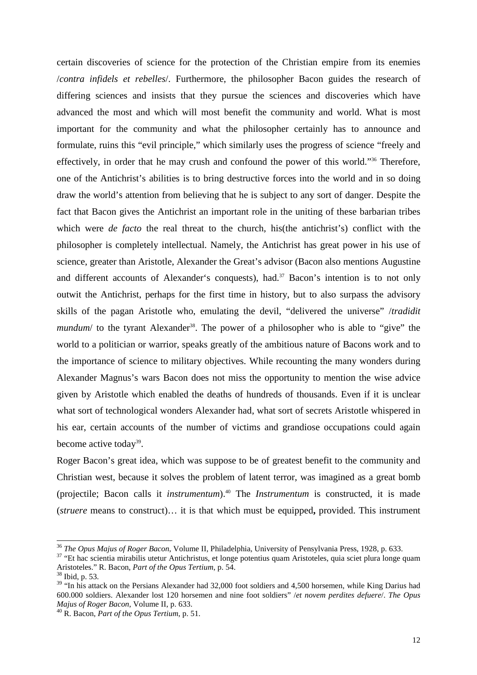certain discoveries of science for the protection of the Christian empire from its enemies /*contra infidels et rebelles*/. Furthermore, the philosopher Bacon guides the research of differing sciences and insists that they pursue the sciences and discoveries which have advanced the most and which will most benefit the community and world. What is most important for the community and what the philosopher certainly has to announce and formulate, ruins this "evil principle," which similarly uses the progress of science "freely and effectively, in order that he may crush and confound the power of this world."<sup>36</sup> Therefore, one of the Antichrist's abilities is to bring destructive forces into the world and in so doing draw the world's attention from believing that he is subject to any sort of danger. Despite the fact that Bacon gives the Antichrist an important role in the uniting of these barbarian tribes which were *de facto* the real threat to the church, his(the antichrist's) conflict with the philosopher is completely intellectual. Namely, the Antichrist has great power in his use of science, greater than Aristotle, Alexander the Great's advisor (Bacon also mentions Augustine and different accounts of Alexander's conquests), had.<sup>37</sup> Bacon's intention is to not only outwit the Antichrist, perhaps for the first time in history, but to also surpass the advisory skills of the pagan Aristotle who, emulating the devil, "delivered the universe" /*tradidit mundum*/ to the tyrant Alexander<sup>38</sup>. The power of a philosopher who is able to "give" the world to a politician or warrior, speaks greatly of the ambitious nature of Bacons work and to the importance of science to military objectives. While recounting the many wonders during Alexander Magnus's wars Bacon does not miss the opportunity to mention the wise advice given by Aristotle which enabled the deaths of hundreds of thousands. Even if it is unclear what sort of technological wonders Alexander had, what sort of secrets Aristotle whispered in his ear, certain accounts of the number of victims and grandiose occupations could again become active today<sup>39</sup>.

Roger Bacon's great idea, which was suppose to be of greatest benefit to the community and Christian west, because it solves the problem of latent terror, was imagined as a great bomb (projectile; Bacon calls it *instrumentum*).<sup>40</sup> The *Instrumentum* is constructed, it is made (*struere* means to construct)… it is that which must be equipped**,** provided. This instrument

<sup>36</sup> *The Opus Majus of Roger Bacon*, Volume II, Philadelphia, University of Pensylvania Press, 1928, p. 633.

<sup>&</sup>lt;sup>37</sup> "Et hac scientia mirabilis utetur Antichristus, et longe potentius quam Aristoteles, quia sciet plura longe quam Aristoteles." R. Bacon, *Part of the Opus Tertium*, p. 54.

<sup>38</sup> Ibid, p. 53.

<sup>&</sup>lt;sup>39</sup> "In his attack on the Persians Alexander had 32,000 foot soldiers and 4,500 horsemen, while King Darius had 600.000 soldiers. Alexander lost 120 horsemen and nine foot soldiers" /*et novem perdites defuere*/. *The Opus Majus of Roger Bacon*, Volume II, p. 633.

<sup>40</sup> R. Bacon, *Part of the Opus Tertium*, p. 51.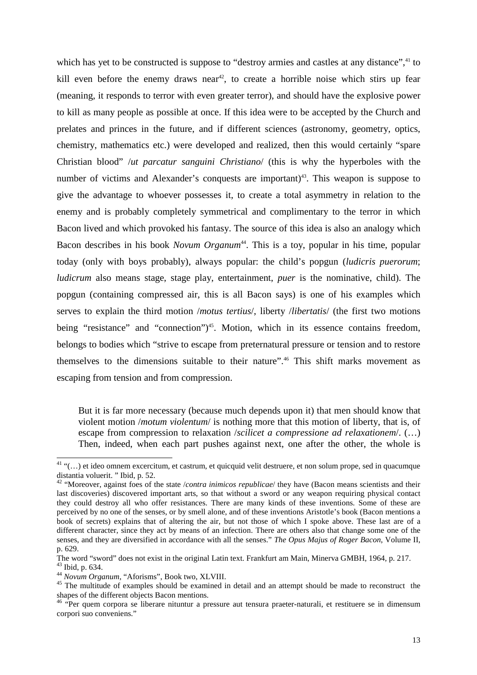which has yet to be constructed is suppose to "destroy armies and castles at any distance",<sup>41</sup> to kill even before the enemy draws near<sup>42</sup>, to create a horrible noise which stirs up fear (meaning, it responds to terror with even greater terror), and should have the explosive power to kill as many people as possible at once. If this idea were to be accepted by the Church and prelates and princes in the future, and if different sciences (astronomy, geometry, optics, chemistry, mathematics etc.) were developed and realized, then this would certainly "spare Christian blood" /*ut parcatur sanguini Christiano*/ (this is why the hyperboles with the number of victims and Alexander's conquests are important)<sup>43</sup>. This weapon is suppose to give the advantage to whoever possesses it, to create a total asymmetry in relation to the enemy and is probably completely symmetrical and complimentary to the terror in which Bacon lived and which provoked his fantasy. The source of this idea is also an analogy which Bacon describes in his book *Novum Organum*<sup>44</sup>. This is a toy, popular in his time, popular today (only with boys probably), always popular: the child's popgun (*ludicris puerorum*; *ludicrum* also means stage, stage play, entertainment, *puer* is the nominative, child). The popgun (containing compressed air, this is all Bacon says) is one of his examples which serves to explain the third motion /*motus tertius*/, liberty /*libertatis*/ (the first two motions being "resistance" and "connection")<sup>45</sup>. Motion, which in its essence contains freedom, belongs to bodies which "strive to escape from preternatural pressure or tension and to restore themselves to the dimensions suitable to their nature".<sup>46</sup> This shift marks movement as escaping from tension and from compression.

But it is far more necessary (because much depends upon it) that men should know that violent motion /*motum violentum*/ is nothing more that this motion of liberty, that is, of escape from compression to relaxation /*scilicet a compressione ad relaxationem*/. (…) Then, indeed, when each part pushes against next, one after the other, the whole is

 $41$  "(...) et ideo omnem excercitum, et castrum, et quicquid velit destruere, et non solum prope, sed in quacumque distantia voluerit. " Ibid, p. 52.

<sup>42</sup> "Moreover, against foes of the state /*contra inimicos republicae*/ they have (Bacon means scientists and their last discoveries) discovered important arts, so that without a sword or any weapon requiring physical contact they could destroy all who offer resistances. There are many kinds of these inventions. Some of these are perceived by no one of the senses, or by smell alone, and of these inventions Aristotle's book (Bacon mentions a book of secrets) explains that of altering the air, but not those of which I spoke above. These last are of a different character, since they act by means of an infection. There are others also that change some one of the senses, and they are diversified in accordance with all the senses." *The Opus Majus of Roger Bacon*, Volume II, p. 629.

The word "sword" does not exist in the original Latin text. Frankfurt am Main, Minerva GMBH, 1964, p. 217.  $43$  Ibid, p. 634.

<sup>44</sup> *Novum Organum*, "Aforisms", Book two, XLVIII.

<sup>&</sup>lt;sup>45</sup> The multitude of examples should be examined in detail and an attempt should be made to reconstruct the shapes of the different objects Bacon mentions.

<sup>&</sup>lt;sup>46</sup> "Per quem corpora se liberare nituntur a pressure aut tensura praeter-naturali, et restituere se in dimensum corpori suo conveniens."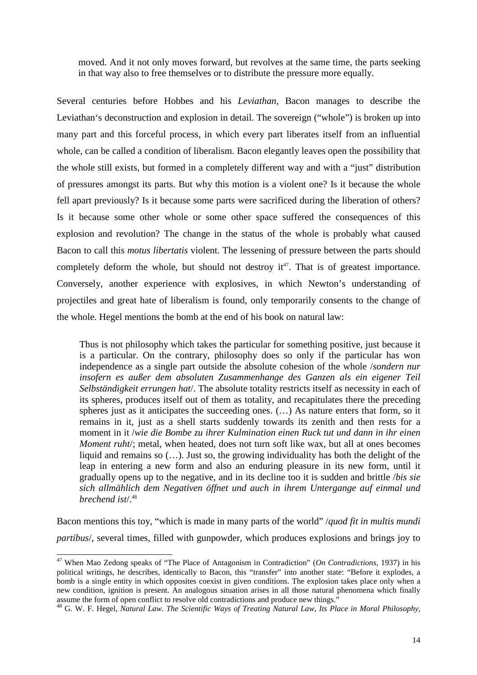moved. And it not only moves forward, but revolves at the same time, the parts seeking in that way also to free themselves or to distribute the pressure more equally.

Several centuries before Hobbes and his *Leviathan*, Bacon manages to describe the Leviathan's deconstruction and explosion in detail. The sovereign ("whole") is broken up into many part and this forceful process, in which every part liberates itself from an influential whole, can be called a condition of liberalism. Bacon elegantly leaves open the possibility that the whole still exists, but formed in a completely different way and with a "just" distribution of pressures amongst its parts. But why this motion is a violent one? Is it because the whole fell apart previously? Is it because some parts were sacrificed during the liberation of others? Is it because some other whole or some other space suffered the consequences of this explosion and revolution? The change in the status of the whole is probably what caused Bacon to call this *motus libertatis* violent. The lessening of pressure between the parts should completely deform the whole, but should not destroy  $it^{47}$ . That is of greatest importance. Conversely, another experience with explosives, in which Newton's understanding of projectiles and great hate of liberalism is found, only temporarily consents to the change of the whole. Hegel mentions the bomb at the end of his book on natural law:

Thus is not philosophy which takes the particular for something positive, just because it is a particular. On the contrary, philosophy does so only if the particular has won independence as a single part outside the absolute cohesion of the whole /*sondern nur insofern es außer dem absoluten Zusammenhange des Ganzen als ein eigener Teil Selbständigkeit errungen hat*/. The absolute totality restricts itself as necessity in each of its spheres, produces itself out of them as totality, and recapitulates there the preceding spheres just as it anticipates the succeeding ones. (…) As nature enters that form, so it remains in it, just as a shell starts suddenly towards its zenith and then rests for a moment in it /*wie die Bombe zu ihrer Kulmination einen Ruck tut und dann in ihr einen Moment ruht*/; metal, when heated, does not turn soft like wax, but all at ones becomes liquid and remains so (…). Just so, the growing individuality has both the delight of the leap in entering a new form and also an enduring pleasure in its new form, until it gradually opens up to the negative, and in its decline too it is sudden and brittle /*bis sie sich allmählich dem Negativen öffnet und auch in ihrem Untergange auf einmal und brechend ist*/.<sup>48</sup>

Bacon mentions this toy, "which is made in many parts of the world" /*quod fit in multis mundi partibus*/, several times, filled with gunpowder, which produces explosions and brings joy to

<sup>47</sup> When Mao Zedong speaks of "The Place of Antagonism in Contradiction" (*On Contradictions*, 1937) in his political writings, he describes, identically to Bacon, this "transfer" into another state: "Before it explodes, a bomb is a single entity in which opposites coexist in given conditions. The explosion takes place only when a new condition, ignition is present. An analogous situation arises in all those natural phenomena which finally assume the form of open conflict to resolve old contradictions and produce new things."

<sup>48</sup> G. W. F. Hegel, *Natural Law*. *The Scientific Ways of Treating Natural Law, Its Place in Moral Philosophy,*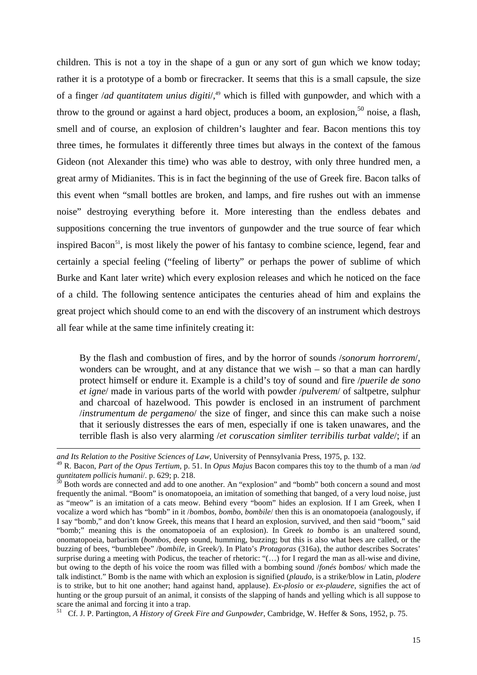children. This is not a toy in the shape of a gun or any sort of gun which we know today; rather it is a prototype of a bomb or firecracker. It seems that this is a small capsule, the size of a finger */ad quantitatem unius digiti*/,<sup>49</sup> which is filled with gunpowder, and which with a throw to the ground or against a hard object, produces a boom, an explosion,  $50$  noise, a flash, smell and of course, an explosion of children's laughter and fear. Bacon mentions this toy three times, he formulates it differently three times but always in the context of the famous Gideon (not Alexander this time) who was able to destroy, with only three hundred men, a great army of Midianites. This is in fact the beginning of the use of Greek fire. Bacon talks of this event when "small bottles are broken, and lamps, and fire rushes out with an immense noise" destroying everything before it. More interesting than the endless debates and suppositions concerning the true inventors of gunpowder and the true source of fear which inspired Bacon<sup>51</sup>, is most likely the power of his fantasy to combine science, legend, fear and certainly a special feeling ("feeling of liberty" or perhaps the power of sublime of which Burke and Kant later write) which every explosion releases and which he noticed on the face of a child. The following sentence anticipates the centuries ahead of him and explains the great project which should come to an end with the discovery of an instrument which destroys all fear while at the same time infinitely creating it:

By the flash and combustion of fires, and by the horror of sounds /*sonorum horrorem*/, wonders can be wrought, and at any distance that we wish – so that a man can hardly protect himself or endure it. Example is a child's toy of sound and fire /*puerile de sono et igne*/ made in various parts of the world with powder /*pulverem*/ of saltpetre, sulphur and charcoal of hazelwood. This powder is enclosed in an instrument of parchment /*instrumentum de pergameno*/ the size of finger, and since this can make such a noise that it seriously distresses the ears of men, especially if one is taken unawares, and the terrible flash is also very alarming /*et coruscation simliter terribilis turbat valde*/; if an

1

<sup>51</sup> Cf. J. P. Partington, *A History of Greek Fire and Gunpowder*, Cambridge, W. Heffer & Sons, 1952, p. 75.

*and Its Relation to the Positive Sciences of Law*, University of Pennsylvania Press, 1975, p. 132.

<sup>49</sup> R. Bacon, *Part of the Opus Tertium*, p. 51. In *Opus Majus* Bacon compares this toy to the thumb of a man /*ad quntitatem pollicis humani*/. p. 629; p. 218.<br><sup>50</sup> P. <sup>41</sup>

 ${}^{0}$  Both words are connected and add to one another. An "explosion" and "bomb" both concern a sound and most frequently the animal. "Boom" is onomatopoeia, an imitation of something that banged, of a very loud noise, just as "meow" is an imitation of a cats meow. Behind every "boom" hides an explosion. If I am Greek, when I vocalize a word which has "bomb" in it /*bombos*, *bombo*, *bombile*/ then this is an onomatopoeia (analogously, if I say "bomb," and don't know Greek, this means that I heard an explosion, survived, and then said "boom," said "bomb;" meaning this is the onomatopoeia of an explosion). In Greek *to bombo* is an unaltered sound, onomatopoeia, barbarism (*bombos*, deep sound, humming, buzzing; but this is also what bees are called, or the buzzing of bees, "bumblebee" /*bombile*, in Greek/). In Plato's *Protagoras* (316a), the author describes Socrates' surprise during a meeting with Podicus, the teacher of rhetoric: "(…) for I regard the man as all-wise and divine, but owing to the depth of his voice the room was filled with a bombing sound /*fonés bombos*/ which made the talk indistinct." Bomb is the name with which an explosion is signified (*plaudo*, is a strike/blow in Latin, *plodere*  is to strike, but to hit one another; hand against hand, applause). *Ex-plosio* or *ex-plaudere*, signifies the act of hunting or the group pursuit of an animal, it consists of the slapping of hands and yelling which is all suppose to scare the animal and forcing it into a trap.